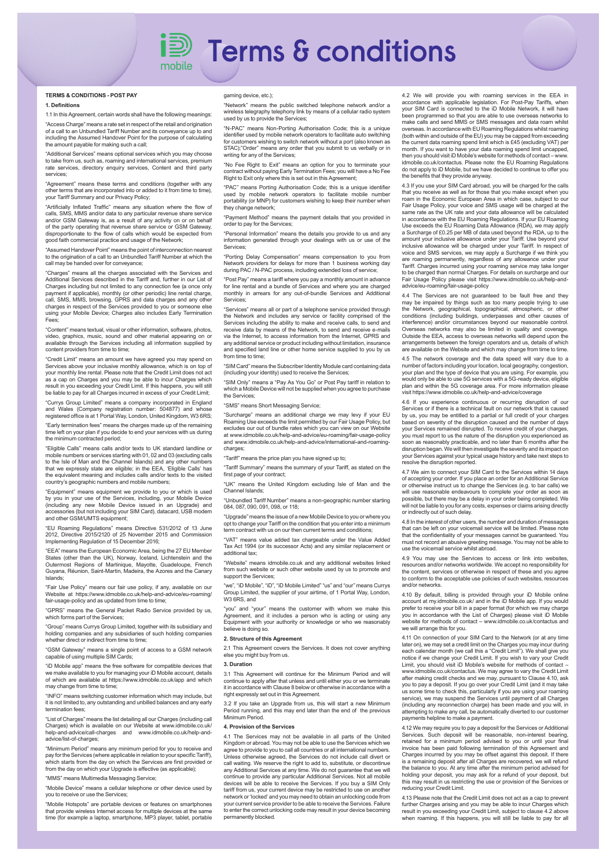# i**<sup>a</sup>** Terms & conditions

# **TERMS & CONDITIONS - POST PAY**

## **1. Definitions**

1.1 In this Agreement, certain words shall have the following meanings: "Access Charge" means a rate set in respect of the retail and origination of a call to an Unbundled Tariff Number and its conveyance up to and including the Assumed Handover Point for the purpose of calculating the amount payable for making such a call;

"Additional Services" means optional services which you may choose to take from us, such as, roaming and international services, premium rate services, directory enquiry services, Content and third party services;

"Agreement" means these terms and conditions (together with any other terms that are incorporated into or added to it from time to time), your Tariff Summary and our Privacy Policy;

"Artificially Inflated Traffic" means any situation where the flow of calls, SMS, MMS and/or data to any particular revenue share service and/or GSM Gateway is, as a result of any activity on or on behalf of the party operating that revenue share service or GSM Gateway, disproportionate to the flow of calls which would be expected from party operating that revenue order of calls which would be expected from good faith commercial practice and usage of the Network;

"Assumed Handover Point" means the point of interconnection nearest to the origination of a call to an Unbundled Tariff Number at which the call may be handed over for conveyance;

"Charges" means all the charges associated with the Services and Additional Services described in the Tariff and, further in our List of Charges including but not limited to any connection fee (a once only payment if applicable), monthly (or other periodic) line rental charge, call, SMS, MMS, browsing, GPRS and data charges and any other charges in respect of the Services provided to you or someone else using your Mobile Device; Charges also includes Early Termination Fees;

"Content" means textual, visual or other information, software, photos, video, graphics, music, sound and other material appearing on or available through the Services including all information supplied by content providers from time to time;

"Credit Limit" means an amount we have agreed you may spend on Services above your inclusive monthly allowance, which is on top of your monthly line rental. Please note that the Credit Limit does not act as a cap on Charges and you may be able to incur Charges which result in you exceeding your Credit Limit. If this happens, you will still be liable to pay for all Charges incurred in excess of your Credit Limit;

"Currys Group Limited" means a company incorporated in England and Wales (Company registration number: 504877) and whose registered office is at 1 Portal Way, London, United Kingdom, W3 6RS;

"Early termination fees" means the charges made up of the remaining time left on your plan if you decide to end your services with us during the minimum contracted period;

"Eligible Calls" means calls and/or texts to UK standard landline or mobile numbers or services starting with 01, 02 and 03 (excluding calls to the Isle of Man and the Channel Islands) and any other numbers that we expressly state are eligible; in the EEA, 'Eligible Calls' has the equivalent meaning and includes calls and/or texts to the visited country's geographic numbers and mobile numbers;

"Equipment" means equipment we provide to you or by you in your use of the Services, including, your Mobile Device (including any new Mobile Device issued in an Upgrade) and accessories (but not including your SIM Card), datacard, USB modem and other GSM/UMTS equipment;

"EU Roaming Regulations" means Directive 531/2012 of 13 June 2012, Directive 2015/2120 of 25 November 2015 and Commission Implementing Regulation of 15 December 2016;

"EEA" means the European Economic Area, being the 27 EU Member States (other than the UK), Norway, Iceland, Lichtenstein and the Outermost Regions of Martinique, Mayotte, Guadeloupe, French Guyana, Réunion, Saint-Martin, Madeira, the Azores and the Canary Islands;

"Fair Use Policy" means our fair use policy, if any, available on our Website at https://www.idmobile.co.uk/help-and-advice/eu-roaming/ fair-usage-policy and as updated from time to time;

"GPRS" means the General Packet Radio Service provided by us, which forms part of the Services;

"Group" means Currys Group Limited, together with its subsidiary and holding companies and any subsidiaries of such holding companies whether direct or indirect from time to time:

"GSM Gateway" means a single point of access to a GSM network capable of using multiple SIM Cards;

"iD Mobile app" means the free software for compatible devices that we make available to you for managing your iD Mobile account, details of which are available at https://www.idmobile.co.uk/app and which may change from time to time;

"INFO" means switching customer information which may include, but it is not limited to, any outstanding and unbilled balances and any early termination fees

"List of Charges" means the list detailing all our Charges (including call Charges) which is available on our Website at www.idmobile.co.uk/ help-and-advice/call-charges and www.idmobile.co.uk/help-andadvice/list-of-charges;

"Minimum Period" means any minimum period for you to receive and pay for the Services (where applicable in relation to your specific Tariff), which starts from the day on which the Services are first provided or from the day on which your Upgrade is effective (as applicable);

"MMS" means Multimedia Messaging Service;

"Mobile Device" means a cellular telephone or other device used by you to receive or use the Services;

"Mobile Hotspots" are portable devices or features on smartphones that provide wireless Internet access for multiple devices at the same time (for example a laptop, smartphone, MP3 player, tablet, portable gaming device, etc.);

"Network" means the public switched telephone network and/or a wireless telegraphy telephony link by means of a cellular radio system used by us to provide the Services;

"N-PAC" means Non-Porting Authorisation Code; this is a unique identifier used by mobile network operators to facilitate auto switching for customers wishing to switch network without a port (also known as STAC);"Order" means any order that you submit to us verbally or in writing for any of the Services;

"No Fee Right to Exit" means an option for you to terminate your contract without paying Early Termination Fees; you will have a No Fee Right to Exit only where this is set out in this Agreement;

"PAC" means Porting Authorisation Code; this is a unique identifier used by mobile network operators to facilitate mobile number portability (or MNP) for customers wishing to keep their number when ey change network

"Payment Method" means the payment details that you provided in order to pay for the Services;

"Personal Information" means the details you provide to us and any information generated through your dealings with us or use of the Services;

"Porting Delay Compensation" means compensation to you from Network providers for delays for more than 1 business working day during PAC / N-PAC process, including extended loss of service;

"Post Pay" means a tariff where you pay a monthly amount in advance for line rental and a bundle of Services and where you are charged monthly in arrears for any out-of-bundle Services and Additional Services;

"Services" means all or part of a telephone service provided through the Network and includes any service or facility comprised of the Services including the ability to make and receive calls, to send and receive data by means of the Network, to send and receive e-mails via the Internet, to access information from the Internet, GPRS and any additional service or product including without limitation, insurance and specified land line or other home service supplied to you by us from time to time:

"SIM Card" means the Subscriber Identity Module card containing data (including your identity) used to receive the Services;

"SIM Only" means a "Pay As You Go" or Post Pay tariff in relation to which a Mobile Device will not be supplied when you agree to purchase the Services;

"SMS" means Short Messaging Service;

"Surcharge" means an additional charge we may levy if your EU Roaming Use exceeds the limit permitted by our Fair Usage Policy, but excludes our out of bundle rates which you can view on our Website at www.idmobile.co.uk/help-and-advice/eu-roaming/fair-usage-policy and www.idmobile.co.uk/help-and-advice/international-and-roamingcharges;

"Tariff" means the price plan you have signed up to;

"Tariff Summary" means the summary of your Tariff, as stated on the first page of your contract; "UK" means the United Kingdom excluding Isle of Man and the

Channel Islands; "Unbundled Tariff Number" means a non-geographic number starting

084, 087, 090, 091, 098, or 118;

"Upgrade" means the issue of a new Mobile Device to you or where you opt to change your Tariff on the condition that you enter into a minimum term contract with us on our then current terms and conditions;

"VAT" means value added tax chargeable under the Value Added Tax Act 1994 (or its successor Acts) and any similar replacement or additional tax;

"Website" means idmobile.co.uk and any additional websites linked from such website or such other website used by us to promote and support the Services:

"we", "iD Mobile", "iD", "iD Mobile Limited" "us" and "our" means Currys Group Limited, the supplier of your airtime, of 1 Portal Way, London, W<sub>3</sub> 6R<sub>S</sub>, and

"you" and "your" means the customer with whom we make this Agreement, and it includes a person who is acting or using any Equipment with your authority or knowledge or who we reasonably believe is doing so.

# **2. Structure of this Agreement**

2.1 This Agreement covers the Services. It does not cover anything else you might buy from us.

# **3. Duration**

3.1 This Agreement will continue for the Minimum Period and will continue to apply after that unless and until either you or we terminate it in accordance with Clause 8 below or otherwise in accordance with a right expressly set out in this Agreement.

3.2 If you take an Upgrade from us, this will start a new Minimum Period running, and this may end later than the end of the previous Minimum Period.

# **4. Provision of the Services**

4.1 The Services may not be available in all parts of the United Kingdom or abroad. You may not be able to use the Services which we agree to provide to you to call all countries or all international numbers. Unless otherwise agreed, the Services do not include call divert or call waiting. We reserve the right to add to, substitute, or discontinue any Additional Services at any time. We do not guarantee that we will continue to provide any particular Additional Services. Not all mobile devices will be able to receive the Services. If you buy a SIM Only tariff from us, your current device may be restricted to use on another network or 'locked' and you may need to obtain an unlocking code from your current service provider to be able to receive the Services. Failure to enter the correct unlocking code may result in your device becoming permanently blocked.

4.2 We will provide you with roaming services in the EEA in accordance with applicable legislation. For Post-Pay Tariffs, when your SIM Card is connected to the iD Mobile Network, it will have been programmed so that you are able to use overseas networks to make calls and send MMS or SMS messages and data roam whilst overseas. In accordance with EU Roaming Regulations whilst roaming (both within and outside of the EU) you may be capped from exceeding the current data roaming spend limit which is £45 (excluding VAT) per month. If you want to have your data roaming spend limit uncapped, then you should visit iD Mobile's website for methods of contact – www. idmobile.co.uk/contactus. Please note: the EU Roaming Regulations do not apply to iD Mobile, but we have decided to continue to offer you the benefits that they provide anyway.

4.3 If you use your SIM Card abroad, you will be charged for the calls that you receive as well as for those that you make except when you roam in the Economic European Area in which case, subject to our Fair Usage Policy, your voice and SMS usage will be charged at the same rate as the UK rate and your data allowance will be calculated in accordance with the EU Roaming Regulations. If your EU Roaming Use exceeds the EU Roaming Data Allowance (RDA), we may apply a Surcharge of £0.25 per MB of data used beyond the RDA, up to the amount your inclusive allowance under your Tariff. Use beyond your inclusive allowance will be charged under your Tariff. In respect of voice and SMS services, we may apply a Surcharge if we think you are roaming permanently, regardless of any allowance under your Tariff. Charges incurred using your roaming service may take longer to be charged than normal Charges. For details on surcharge and our Fair Usage Policy please visit https://www.idmobile.co.uk/help-andadvice/eu-roaming/fair-usage-policy

4.4 The Services are not guaranteed to be fault free and they may be impaired by things such as too many people trying to use<br>the Network, geographical, topographical, atmospheric, or other<br>conditions (including buildings, underpasses and other causes of<br>interference) and/or circumst Overseas networks may also be limited in quality and coverage. Outside the EEA, access to overseas networks will depend upon the arrangements between the foreign operators and us, details of which are available on the Website and which may change from time to time.

4.5 The network coverage and the data speed will vary due to a number of factors including your location, local geography, congestion, your plan and the type of device that you are using. For example, you would only be able to use 5G services with a 5G-ready device, eligible plan and within the 5G coverage area. For more information please visit https://www.idmobile.co.uk/help-and-advice/coverage

4.6 If you experience continuous or recurring disruption of our Services or if there is a technical fault on our network that is caused by us, you may be entitled to a partial or full credit of your charges based on severity of the disruption caused and the number of days your Services remained disrupted. To receive credit of your charges, you must report to us the nature of the disruption you experienced as soon as reasonably practicable, and no later than 6 months after the disruption began. We will then investigate the severity and its impact on your Services against your typical usage history and take next steps to resolve the disruption reported.

4.7 We aim to connect your SIM Card to the Services within 14 days of accepting your order. If you place an order for an Additional Service<br>or otherwise instruct us to change the Services (e.g. to bar calls) we or otherwise instruct us to change the Services (e.g. to bar calls) we will use reasonable endeavours to complete your order as soon as possible, but there may be a delay in your order being completed. We will not be liable to you for any costs, expenses or claims arising directly or indirectly out of such delay.

4.8 In the interest of other users, the number and duration of messages that can be left on your voicemail service will be limited. Please note that the confidentiality of your messages cannot be guaranteed. You must not record an abusive greeting message. You may not be able to use the voicemail service whilst abroad.

4.9 You may use the Services to access or link into web resources and/or networks worldwide. We accept no responsibility for the content, services or otherwise in respect of these and you agree to conform to the acceptable use policies of such websites, resources and/or networks.

4.10 By default, billing is provided through your iD Mobile online account at my.idmobile.co.uk/ and in the iD Mobile app. If you would prefer to receive your bill in a paper format (for which we may charge you in accordance with the List of Charges) please visit iD Mobile website for methods of contact – www.idmobile.co.uk/contactus and we will arrange this for you.

4.11 On connection of your SIM Card to the Network (or at any time later on), we may set a credit limit on the Charges you may incur during each calendar month (we call this a "Credit Limit"). We shall give you notice if we change your Credit Limit. If you wish to vary your Credit Limit, you should visit iD Mobile's website for methods of contact – www.idmobile.co.uk/contactus. We may agree to vary the Credit Limit after making credit checks and we may, pursuant to Clause 4.10, ask you to pay a deposit. If you go over your Credit Limit (and it may take us some time to check this, particularly if you are using your roaming service), we may suspend the Services until payment of all Charges (including any reconnection charge) has been made and you will, in attempting to make any call, be automatically diverted to our customer payments helpline to make a payment.

4.12 We may require you to pay a deposit for the Services or Additional Services. Such deposit will be reasonable, non-interest bearing, retained for a minimum period advised to you or until your final invoice has been paid following termination of this Agreement and Charges incurred by you may be offset against this deposit. If there is a remaining deposit after all Charges are recovered, we will refund the balance to you. At any time after the minimum period advised for holding your deposit, you may ask for a refund of your deposit, but this may result in us restricting the use or provision of the Services or reducing your Credit Limit.

4.13 Please note that the Credit Limit does not act as a cap to prevent further Charges arising and you may be able to incur Charges which result in you exceeding your Credit Limit, subject to clause 4.2 above when roaming. If this happens, you will still be liable to pay for all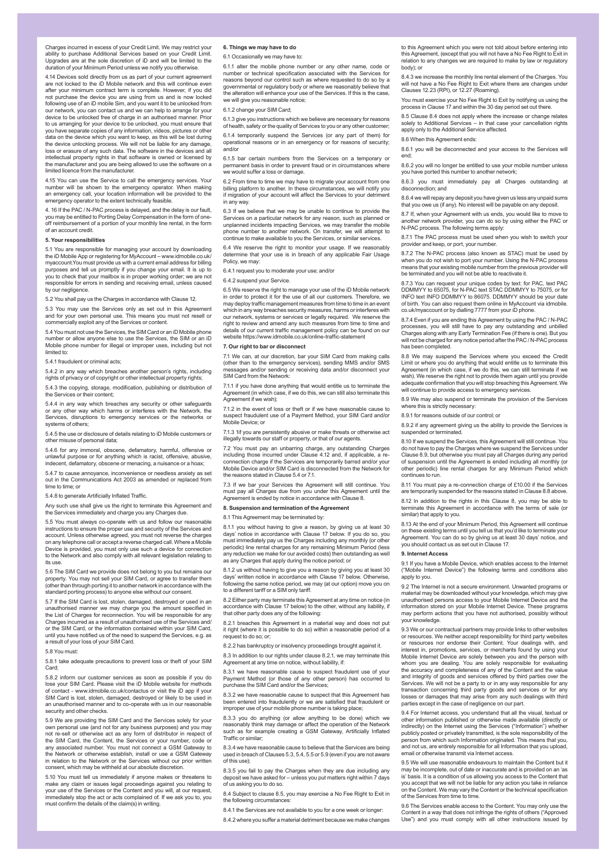Charges incurred in excess of your Credit Limit. We may restrict your ability to purchase Additional Services based on your Credit Limit. Upgrades are at the sole discretion of iD and will be limited to the duration of your Minimum Period unless we notify you otherwise.

4.14 Devices sold directly from us as part of your current agreement are not locked to the iD Mobile network and this will continue even after your minimum contract term is complete. However, if you did not purchase the device you are using from us and is now locked parantase the device year are dening near the and to hear resided from our network, you can contact us and we can help to arrange for your device to be unlocked free of charge in an authorised manner. Prior to us arranging for your device to be unlocked, you must ensure that you have separate copies of any information, videos, pictures or other data on the device which you want to keep, as this will be lost during the device unlocking process. We will not be liable for any damage, loss or erasure of any such data. The software in the devices and all intellectual property rights in that software is owned or licensed by the manufacturer and you are being allowed to use the software on a limited licence from the manufacturer.

4.15 You can use the Service to call the emergency services. Your number will be shown to the emergency operator. When making an emergency call, your location information will be provided to the emergency operator to the extent technically feasible.

4. 16 If the PAC / N-PAC process is delayed, and the delay is our fault, you may be entitled to Porting Delay Compensation in the form of oneoff reimbursement of a portion of your monthly line rental, in the form of an account credit.

### **5. Your responsibilities**

5.1 You are responsible for managing your account by downloading the iD Mobile App or registering for MyAccount – www.idmobile.co.uk/ myaccount.You must provide us with a current email address for billing purposes and tell us promptly if you change your email. It is up to you to check that your mailbox is in proper working order; we are not responsible for errors in sending and receiving email, unless caused by our negligence.

5.2 You shall pay us the Charges in accordance with Clause 12.

5.3 You may use the Services only as set out in this Agreement and for your own personal use. This means you must not resell or commercially exploit any of the Services or content.

5.4 You must not use the Services, the SIM Card or an iD Mobile phone number or allow anyone else to use the Services, the SIM or an iD Mobile phone number for illegal or improper uses, including but not limited to:

# 5.4.1 fraudulent or criminal acts;

5.4.2 in any way which breaches another person's rights, including rights of privacy or of copyright or other intellectual property rights;

5.4.3 the copying, storage, modification, publishing or distribution of the Services or their content; 5.4.4 in any way which breaches any security or other safeguards

or any other way which harms or interferes with the Network, the Services, disruptions to emergency services or the networks or systems of others

5.4.5 the use or disclosure of details relating to iD Mobile customers or other misuse of personal data;

5.4.6 for any immoral, obscene, defamatory, harmful, offensive or unlawful purpose or for anything which is racist, offensive, abusive, indecent, defamatory, obscene or menacing, a nuisance or a hoax;

5.4.7 to cause annoyance, inconvenience or needless anxiety as set out in the Communications Act 2003 as amended or replaced from time to time; or

5.4.8 to generate Artificially Inflated Traffic.

Any such use shall give us the right to terminate this Agreement and the Services immediately and charge you any Charges due.

5.5 You must always co-operate with us and follow our reasonable instructions to ensure the proper use and security of the Services and account. Unless otherwise agreed, you must not reverse the charges on any telephone call or accept a reverse charged call. Where a Mobile Device is provided, you must only use such a device for connection to the Network and also comply with all relevant legislation relating to its use.

5.6 The SIM Card we provide does not belong to you but remains our property. You may not sell your SIM Card, or agree to transfer them (other than through porting it to another network in accordance with the standard porting process) to anyone else without our consent.

5.7 If the SIM Card is lost, stolen, damaged, destroyed or used in an unauthorised manner we may charge you the amount specified in the List of Charges for reconnection. You will be responsible for any Charges incurred as a result of unauthorised use of the Services and/ or the SIM Card, or the information contained within your SIM Card, until you have notified us of the need to suspend the Services, e.g. as a result of your loss of your SIM Card.

### 5.8 You must:

5.8.1 take adequate precautions to prevent loss or theft of your SIM Card;

5.8.2 inform our customer services as soon as possible if you do lose your SIM Card. Please visit the iD Mobile website for m of contact - www.idmobile.co.uk/contactus or visit the iD app if your SIM Card is lost, stolen, damaged, destroyed or likely to be used in an unauthorised manner and to co-operate with us in our reasonable security and other checks.

5.9 We are providing the SIM Card and the Services solely for your own personal use (and not for any business purposes) and you may not re-sell or otherwise act as any form of distributor in respect of the SIM Card, the Content, the Services or your number, code or any associated number. You must not connect a GSM Gateway to the Network or otherwise establish, install or use a CSM Gate ine Network or bullet wise establish, fillstall or use a GGW Gateway in relation to the Network or the Services without our prior written consent, which may be withheld at our absolute discretion.

5.10 You must tell us immediately if anyone makes or threatens to make any claim or issues legal proceedings against you relating to your use of the Services or the Content and you will, at our request, immediately stop the act or acts complained of. If we ask you to, you must confirm the details of the claim(s) in writing.

## **6. Things we may have to do**

6.1 Occasionally we may have to:

6.1.1 alter the mobile phone number or any other name, code or number or technical specification associated with the Services for reasons beyond our control such as where requested to do so by a governmental or regulatory body or where we reasonably believe the remember of property the alteration will enhance your use of the Services. If this is the case we will give you reasonable notice;

6.1.2 change your SIM Card;

6.1.3 give you instructions which we believe are necessary for reasons of health, safety or the quality of Services to you or any other customer; 6.1.4 temporarily suspend the Services (or any part of them) for operational reasons or in an emergency or for reasons of security; and/or

6.1.5 bar certain numbers from the Services on a temporary or permanent basis in order to prevent fraud or in circumstances where we would suffer a loss or damage.

6.2 From time to time we may have to migrate your account from one billing platform to another. In these circumstances, we will notify you if migration of your account will affect the Services to your detriment in any way.

6.3 If we believe that we may be unable to continue to provide the Services on a particular network for any reason, such as planned or unplanned incidents impacting Services, we may transfer the mobile phone number to another network. On transfer, we will attempt to continue to make available to you the Services, or similar services.

6.4 We reserve the right to monitor your usage. If we reasonably determine that your use is in breach of any applicable Fair Usage

6.4.1 request you to moderate your use; and/or

## 6.4.2 suspend your Service.

Policy, we may:

6.5 We reserve the right to manage your use of the iD Mobile network in order to protect it for the use of all our customers. Therefore, we may deploy traffic management measures from time to time in an event which in any way breaches security measures, harms or interferes with our network, systems or services or legally required. We reserve the right to review and amend any such measures from time to time and details of our current traffic management policy can be found on our website https://www.idmobile.co.uk/online-traffic-statement

# **7. Our right to bar or disconnect**

7.1 We can, at our discretion, bar your SIM Card from making calls (other than to the emergency services), sending MMS and/or SMS messages and/or sending or receiving data and/or disconnect your SIM Card from the Network:

7.1.1 if you have done anything that would entitle us to terminate the ent (in which case, if we do this, we can still also terminate this Agreement if we wish)

7.1.2 in the event of loss or theft or if we have reasonable cause to ct fraudulent use of a Payment Method, your SIM Card and/or suspect frauduler<br>Mobile Device; or

7.1.3 1if you are persistently abusive or make threats or otherwise act illegally towards our staff or property, or that of our agents.

7.2 You must pay an unbarring charge, any outstanding Charges including those incurred under Clause 4.12 and, if applicable, a reconnection charge if the Services are temporarily barred and/or your Mobile Device and/or SIM Card is disconnected from the Network for the reasons stated in Clause 5.4 or 71.

7.3 If we bar your Services the Agreement will still continue. You must pay all Charges due from you under this Agreement until the Agreement is ended by notice in accordance with Clause 8.

**8. Suspension and termination of the Agreement**

### 8.1 This Agreement may be terminated by:

8.1.1 you without having to give a reason, by giving us at least 30 days' notice in accordance with Clause 17 below. If you do so, you must immediately pay us the Charges including any monthly (or other periodic) line rental charges for any remaining Minimum Period (less any reduction we make for our avoided costs) then outstanding as well any Charges that apply during the notice period; or

8.1.2 us without having to give you a reason by giving you at least 30 days' written notice in accordance with Clause 17 below. Otherwise, following the same notice period, we may (at our option) move you on to a different tariff or a SIM only tariff.

8.2 Either party may terminate this Agreement at any time on notice (in accordance with Clause 17 below) to the other, without any liability, if that other party does any of the following:

8.2.1 breaches this Agreement in a material way and does not put it right (where it is possible to do so) within a reasonable period of a request to do so; or;

8.2.2 has bankruptcy or insolvency proceedings brought against it.

8.3 In addition to our rights under clause 8.2.1, we may terminate this Agreement at any time on notice, without liability, if:

8.3.1 we have reasonable cause to suspect fraudulent use of your Payment Method (or those of any other person) has occurred to purchase the SIM Card and/or the Services;

8.3.2 we have reasonable cause to suspect that this Agreement has been entered into fraudulently or we are satisfied that fraudulent or improper use of your mobile phone number is taking place;

8.3.3 you do anything (or allow anything to be done) which we reasonably think may damage or affect the operation of the Network such as for example creating a GSM Gateway, Artificially Inflated Traffic or similar;

8.3.4 we have reasonable cause to believe that the Services are being used in breach of Clauses 5.3, 5.4, 5.5 or 5.9 (even if you are not aware of this use);

8.3.5 you fail to pay the Charges when they are due including any deposit we have asked for – unless you put matters right within 7 days deposit we have asked for the state of us asking you to do so.

8.4 Subject to clause 8.5, you may exercise a No Fee Right to Exit in the following circumstand

8.4.1 the Services are not available to you for a one week or longer: 8.4.2 where you suffer a material detriment because we make changes to this Agreement which you were not told about before entering into this Agreement, (except that you will not have a No Fee Right to Exit in relation to any changes we are required to make by law or regulatory body); or

8.4.3 we increase the monthly line rental element of the Charges. You will not have a No Fee Right to Exit where there are changes under Clauses 12.23 (RPI), or 12.27 (Roaming).

You must exercise your No Fee Right to Exit by notifying us using the process in Clause 17 and within the 30 day period set out there.

8.5 Clause 8.4 does not apply where the increase or change relates solely to Additional Services – in that case your cancellation rights apply only to the Additional Service affected.

8.6 When this Agreement ends:

8.6.1 you will be disconnected and your access to the Services will end;

8.6.2 you will no longer be entitled to use your mobile number unless you have ported this number to another network;

8.6.3 you must immediately pay all Charges outstanding at disconnection; and

8.6.4 we will repay any deposit you have given us less any unpaid sums that you owe us (if any). No interest will be payable on any deposit.

8.7 If, when your Agreement with us ends, you would like to move to another network provider, you can do so by using either the PAC or N-PAC process. The following terms apply:

8.7.1 The PAC process must be used when you wish to switch your provider and keep, or port, your number.

8.7.2 The N-PAC process (also known as STAC) must be used by when you do not wish to port your number. Using the N-PAC process means that your existing mobile number from the previous provider will be terminated and you will not be able to reactivate it.

8.7.3 You can request your unique codes by text: for PAC, text PAC DDMMYY to 65075, for N-PAC text STAC DDMMYY to 75075, or for INFO text INFO DDMMYY to 86075. DDMMYY should be your date of birth. You can also request them online in MyAccount via idmobile. co.uk/myaccount or by dialling 7777 from your iD phone.

8.7.4 Even if you are ending this Agreement by using the PAC / N-PAC processes, you will still have to pay any outstanding and unbilled Charges along with any Early Termination Fee (if there is one). But you will not be charged for any notice period after the PAC / N-PAC process has been completed.

8.8 We may suspend the Services where you exceed the Credit Limit or where you do anything that would entitle us to terminate this Agreement (in which case, if we do this, we can still terminate if we wish). We reserve the right not to provide them again until you provide adequate confirmation that you will stop breaching this Agreement. We will continue to provide access to emergency services.

8.9 We may also suspend or terminate the provision of the Services where this is strictly necessary:

8.9.1 for reasons outside of our control; or

8.9.2 if any agreement giving us the ability to provide the Services is suspended or terminated.

8.10 If we suspend the Services, this Agreement will still continue. You do not have to pay the Charges where we suspend the Services under Clause 8.9, but otherwise you must pay all Charges during any period of suspension until the Agreement is ended including all monthly (or other periodic) line rental charges for any Minimum Period which continues to run.

8.11 You must pay a re-connection charge of £10.00 if the Services are temporarily suspended for the reasons stated in Clause 8.8 above.

8.12 In addition to the rights in this Clause 8, you may be able to terminate this Agreement in accordance with the terms of sale (or similar) that apply

8.13 At the end of your Minimum Period, this Agreement will continue on these existing terms until you tell us that you'd like to terminate your Agreement. You can do so by giving us at least 30 days' notice, and you should contact us as set out in Clause 17.

#### **9. Internet Access**

9.1 If you have a Mobile Device, which enables access to the Internet ("Mobile Internet Device") the following terms and conditions also apply to you.

9.2 The Internet is not a secure environment. Unwanted programs or material may be downloaded without your knowledge, which may give unauthorised persons access to your Mobile Internet Device and the information stored on your Mobile Internet Device. These programs may perform actions that you have not authorised, possibly without your knowledge.

9.3 We or our contractual partners may provide links to other websites or resources. We neither accept responsibility for third party websites or resources nor endorse their Content. Your dealings with, and interest in, promotions, services, or merchants found by using your Mobile Internet Device are solely between you and the person with whom you are dealing. You are solely responsible for evaluating the accuracy and completeness of any of the Content and the value and integrity of goods and services offered by third parties over the Services. We will not be a party to or in any way responsible for any transaction concerning third party goods and services or for any losses or damages that may arise from any such dealings with third parties except in the case of negligence on our part.

9.4 For Internet access, you understand that all the visual, textual or other information published or otherwise made available (directly or indirectly) on the Internet using the Services ("Information") whether publicly posted or privately transmitted, is the sole responsibility of the person from which such Information originated. This means that you, and not us, are entirely responsible for all Information that you upload, email or otherwise transmit via Internet access.

9.5 We will use reasonable endeavours to maintain the Content but it ay be incomplete, out of date or inaccurate and is provided on an 'as is' basis. It is a condition of us allowing you access to the Content that you accept that we will not be liable for any action you take in reliance on the Content. We may vary the Content or the technical specification of the Services from time to time.

9.6 The Services enable access to the Content. You may only use the Content in a way that does not infringe the rights of others ("Approv Use") and you must comply with all other instructions issued by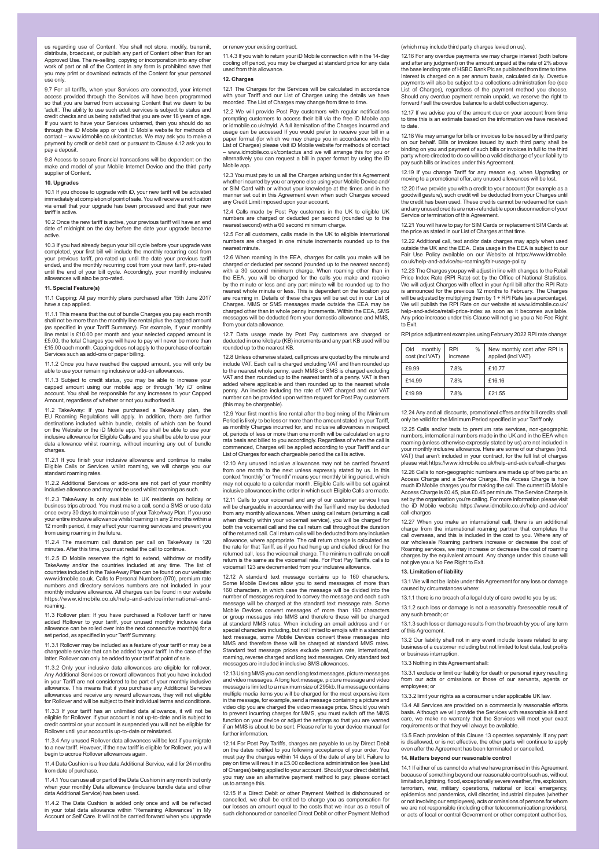us regarding use of Content. You shall not store, modify, transmit, distribute, broadcast, or publish any part of Content other than for an Approved Use. The re-selling, copying or incorporation into any other work of part or all of the Content in any form is prohibited save that you may print or download extracts of the Content for your personal use only.

9.7 For all tariffs, when your Services are connected, your internet access provided through the Services will have been programmed so that you are barred from accessing Content that we deem to be you are barred from accessing content that we deem to be<br>The ability to use such adult services is subject to status and credit checks and us being satisfied that you are over 18 years of age. If you want to have your Services unbarred, then you should do so through the iD Mobile app or visit iD Mobile website for methods of contact – www.idmobile.co.uk/contactus. We may ask you to make a payment by credit or debit card or pursuant to Clause 4.12 ask you to pay a deposit.

9.8 Access to secure financial transactions will be dependent on the make and model of your Mobile Internet Device and the third party supplier of Content.

## **10. Upgrades**

10.1 If you choose to upgrade with iD, your new tariff will be activated immediately at completion of point of sale. You will receive a notification via email that your upgrade has been processed and that your new tariff is active.

10.2 Once the new tariff is active, your previous tariff will have an end date of midnight on the day before the date your upgrade became active.

10.3 If you had already begun your bill cycle before your upgrade was completed, your first bill will include the monthly recurring cost from your previous tariff, pro-rated up until the date your previous tariff ended, and the monthly recurring cost from your new tariff, pro-rated until the end of your bill cycle. Accordingly, your monthly inclusive allowances will also be pro-rated.

# **11. Special Feature(s)**

11.1 Capping: All pay monthly plans purchased after 15th June 2017 have a cap applied.

11.1.1 This means that the out of bundle Charges you pay each month shall not be more than the monthly line rental plus the capped amount (as specified in your Tariff Summary). For example, if your monthly line rental is £10.00 per month and your selected capped amount is £5.00, the total Charges you will have to pay will never be more than £15.00 each month. Capping does not apply to the purchase of certain Services such as add-ons or paper billing.

11.1.2 Once you have reached the capped amount, you will only be able to use your remaining inclusive or add-on allowances.

11.1.3 Subject to credit status, you may be able to increase your capped amount using our mobile app or through 'My iD' online account. You shall be responsible for any increases to your Capped Amount, regardless of whether or not you authorised it.

11.2 TakeAway: If you have purchased a TakeAway plan, the EU Roaming Regulations will apply. In addition, there are further destinations included within bundle, details of which can be found on the Website or the iD Mobile app. You shall be able to use your inclusive allowance for Eligible Calls and you shall be able to use your data allowance whilst roaming, without incurring any out of bundle charges.

11.2.1 If you finish your inclusive allowance and continue to make Eligible Calls or Services whilst roaming, we will charge you our standard roaming rates.

11.2.2 Additional Services or add-ons are not part of your monthly inclusive allowance and may not be used whilst roaming as such.

11.2.3 TakeAway is only available to UK residents on holiday or business trips abroad. You must make a call, send a SMS or use data once every 30 days to maintain use of your TakeAway Plan. If you use your entire inclusive allowance whilst roaming in any 2 months within a 12 month period, it may affect your roaming services and prevent you from using roaming in the future.

11.2.4 The maximum call duration per call on TakeAway is 120 minutes. After this time, you must redial the call to continue.

11.2.5 iD Mobile reserves the right to extend, withdraw or modify TakeAway and/or the countries included at any time. The list of countries included in the TakeAway Plan can be found on our website: www.idmobile.co.uk. Calls to Personal Numbers (070), premium rate numbers and directory services numbers are not included in your monthly inclusive allowance. All charges can be found in our website https://www.idmobile.co.uk/help-and-advice/international-androaming.

11.3 Rollover plan: If you have purchased a Rollover tariff or have added Rollover to your tariff, your unused monthly inclusive data allowance can be rolled over into the next consecutive month(s) for a set period, as specified in your Tariff Summary.

11.3.1 Rollover may be included as a feature of your tariff or may be a chargeable service that can be added to your tariff. In the case of the latter, Rollover can only be added to your tariff at point of sale.

11.3.2 Only your inclusive data allowances are eligible for rollove Any Additional Services or reward allowances that you have included in your Tariff are not considered to be part of your monthly inclusive wance. This means that if you purchase any Additional Services vances and receive any reward allowances, they will not eligible for Rollover and will be subject to their individual terms and conditions.

11.3.3 If your tariff has an unlimited data allowance, it will not be eligible for Rollover. If your account is not up-to-date and is subject credit control or your account is suspended you will not be eligible for Rollover until your account is up-to-date or reinstated.

11.3.4 Any unused Rollover data allowances will be lost if you migrate to a new tariff. However, if the new tariff is eligible for Rollover, you will begin to accrue Rollover allowances again.

11.4 Data Cushion is a free data Additional Service, valid for 24 months from date of purchase.

11.4.1 You can use all or part of the Data Cushion in any month but only when your monthly Data allowance (inclusive bundle data and other data Additional Service) has been used.

11.4.2 The Data Cushion is added only once and will be reflected in your total data allowance within "Remaining Allowances" in My Account or Self Care. It will not be carried forward when you upgrade

or renew your existing contract.

11.4.3 If you wish to return your iD Mobile connection within the 14-day cooling off period, you may be charged at standard price for any data used from this allowance.

## **12. Charges**

12.1 The Charges for the Services will be calculated in accordance with your Tariff and our List of Charges using the details we have recorded. The List of Charges may change from time to time.

12.2 We will provide Post Pay customers with regular notifications prompting customers to access their bill via the free iD Mobile app or idmobile.co.uk/myid. A full itemisation of the Charges incurred and usage can be accessed If you would prefer to receive your bill in a paper format (for which we may charge you in accordance with the List of Charges) please visit iD Mobile website for methods of contact – www.idmobile.co.uk/contactus and we will arrange this for you or alternatively you can request a bill in paper format by using the iD Mobile app.

12.3 You must pay to us all the Charges arising under this Agreement er incurred by you or anyone else using your Mobile Device and/ or SIM Card with or without your knowledge at the times and in the manner set out in this Agreement even when such Charges exceed any Credit Limit imposed upon your account.

12.4 Calls made by Post Pay customers in the UK to eligible UK numbers are charged or deducted per second (rounded up to the nearest second) with a 60 second minimum charge.

12.5 For all customers, calls made in the UK to eligible international numbers are charged in one minute increments rounded up to the nearest minute.

12.6 When roaming in the EEA, charges for calls you make will be charged or deducted per second (rounded up to the nearest second) with a 30 second minimum charge. When roaming other than in the EEA, you will be charged for the calls you make and receive by the minute or less and any part minute will be rounded up to the nearest whole minute or less. This is dependent on the location you are roaming in. Details of these charges will be set out in our List of Charges. MMS or SMS messages made outside the EEA may be charged other than in whole penny increments. Within the EEA, SMS ages will be deducted from your domestic allowance and MMS from your data allowance.

12.7 Data usage made by Post Pay customers are charged or deducted in one kilobyte (KB) increments and any part KB used will be rounded up to the nearest KB.

12.8 Unless otherwise stated, call prices are quoted by the minute and include VAT. Each call is charged excluding VAT and then rounded up to the nearest whole penny, each MMS or SMS is charged excluding VAT and then rounded up to the nearest tenth of a penny. VAT is then added where applicable and then rounded up to the nearest whole penny. An invoice including the rate of VAT charged and our VAT number can be provided upon written request for Post Pay customers (this may be chargeable).

12.9 Your first month's line rental after the beginning of the Minimum Period is likely to be less or more than the amount stated in your Tariff, as monthly Charges incurred for, and inclusive allowances in respect of, periods of less or more than one month will be calculated on a pro rata basis and billed to you accordingly. Regardless of when the call is commenced, Charges will be applied according to your Tariff and our List of Charges for each chargeable period the call is active.

12.10 Any unused inclusive allowances may not be carried forward from one month to the next unless expressly stated by us. In this context "monthly" or "month" means your monthly billing period, which may not equate to a calendar month. Eligible Calls will be set against inclusive allowances in the order in which such Eligible Calls are made

12.11 Calls to your voicemail and any of our customer service lines will be chargeable in accordance with the Tariff and may be deducted from any monthly allowances. When using call return (returning a call when directly within your voicemail service), you will be charged for both the voicemail call and the call return call throughout the duration of the returned call. Call return calls will be deducted from any inclusive allowance, where appropriate. The call return charge is calculated as the rate for that Tariff, as if you had hung up and dialled direct for the returned call, less the voicemail charge. The minimum call rate on call return is the same as the voicemail rate. For Post Pay Tariffs, calls to voice came as the versemail rate. For Feet Penall 123 are decremented from your inclusive all

12.12 A standard text message contains up to 160 characters. Some Mobile Devices allow you to send messages of more than 160 characters, in which case the message will be divided into the number of messages required to convey the message and each such message will be charged at the standard text message rate. Some Mobile Devices convert messages of more than 160 characters or group messages into MMS and therefore these will be charged at standard MMS rates. When including an email address and / or special characters including, but not limited to emojis within a standard text message, some Mobile Devices convert these messages into MMS and therefore these will be charged at standard MMS rates. Standard text message prices exclude premium rate, international, roaming, reverse charged and long text messages. Only standard text messages are included in inclusive SMS allowances.

12.13 Using MMS you can send long text messages, picture messages and video messages. A long text message, picture message and video message is limited to a maximum size of 295kb. If a message contains multiple media items you will be charged for the most expensive item in the message, for example, send a message containing a picture and video clip you are charged the video message price. Should you wish to prevent incurring charges for MMS, you must switch off the MMS function on your device or adjust the settings so that you are warned if an MMS is about to be sent. Please refer to your device manual for further information.

12.14 For Post Pay Tariffs, charges are payable to us by Direct Debit on the dates notified to you following acceptance of your order. You must pay the charges within 14 days of the date of any bill. Failure to pay on time will result in a £5.00 collections administration fee (see List of Charges) being applied to your account. Should your direct debit fail, you may use an alternative payment method to pay; please contact us to arrange this.

12.15 If a Direct Debit or other Payment Method is dishonoured or cancelled, we shall be entitled to charge you as compensation for our losses an amount equal to the costs that we incur as a result of such dishonoured or cancelled Direct Debit or other Payment Method

(which may include third party charges levied on us).

12.16 For any overdue payments we may charge interest (both before and after any judgment) on the amount unpaid at the rate of 2% above the base lending rate of HSBC Bank Plc as published from time to time. Interest is charged on a per annum basis, calculated daily. Overdue payments will also be subject to a collections administration fee (see List of Charges), regardless of the payment method you choose Should any overdue payment remain unpaid, we reserve the right to forward / sell the overdue balance to a debt collection agency.

12.17 If we advise you of the amount due on your account from time to time this is an estimate based on the information we have received to date.

12.18 We may arrange for bills or invoices to be issued by a third party on our behalf. Bills or invoices issued by such third party shall be binding on you and payment of such bills or invoices in full to the third particle where the directed to do so will be a valid discharge of your li pay such bills or invoices under this Agreement.

12.19 If you change Tariff for any reason e.g. when Upgrading or moving to a promotional offer, any unused allowances will be moving to a promotional offer, any unused allowances will be

12.20 If we provide you with a credit to your account (for example as a goodwill gesture), such credit will be deducted from your Charges until the credit has been used. These credits cannot be redeemed for cash and any unused credits are non-refundable upon disconnection of your Service or termination of this Agreement.

12.21 You will have to pay for SIM Cards or replacement SIM Cards at the price as stated in our List of Charges at that time.

12.22 Additional call, text and/or data charges may apply when used outside the UK and the EEA. Data usage in the EEA is subject to our Fair Use Policy available on our Website at https://www.idmobile. co.uk/help-and-advice/eu-roaming/fair-usage-policy

12.23 The Charges you pay will adjust in line with changes to the Retail Price Index Rate (RPI Rate) set by the Office of National Statistics. We will adjust Charges with effect in your April bill after the RPI Rate is announced for the previous 12 months to February. The Charges will be adjusted by multiplying them by 1 + RPI Rate (as a percentage). We will publish the RPI Rate on our website at www.idmobile.co.uk/ help-and-advice/retail-price-index as soon as it becomes available. Any price increase under this Clause will not give you a No Fee Right to Exit.

RPI price adjustment examples using February 2022 RPI rate change:

| Old<br>monthly<br>cost (incl VAT) | $\%$<br><b>RPI</b><br>increase | New monthly cost after RPI is<br>applied (incl VAT) |
|-----------------------------------|--------------------------------|-----------------------------------------------------|
| £9.99                             | 7.8%                           | £10.77                                              |
| £14.99                            | 7.8%                           | £16.16                                              |
| £19.99                            | 7.8%                           | £21.55                                              |

12.24 Any and all discounts, promotional offers and/or bill credits shall only be valid for the Minimum Period specified in your Tariff only.

12.25 Calls and/or texts to premium rate services, non-geographic numbers, international numbers made in the UK and in the EEA when roaming (unless otherwise expressly stated by us) are not included in your monthly inclusive allowance. Here are some of our charges (incl. VAT) that aren't included in your contract, for the full list of charges please visit https://www.idmobile.co.uk/help-and-advice/call-charges please visit and the real and contract, real than the real

12.26 Calls to non-geographic numbers are made up of two parts: an Access Charge and a Service Charge. The Access Charge is how much iD Mobile charges you for making the call. The current iD Mobile Access Charge is £0.45, plus £0.45 per minute. The Service Charge is set by the organisation you're calling. For more information please visit the iD Mobile website https://www.idmobile.co.uk/help-and-advice/ call-charges

12.27 When you make an international call, there is an additional charge from the international roaming partner that completes the call overseas, and this is included in the cost to you. Where any of our wholesale Roaming partners increase or decrease the cost of Roaming services, we may increase or decrease the cost of roaming charges by the equivalent amount. Any change under this clause will not give you a No Fee Right to Exit.

# **13. Limitation of liability**

any such breach; or

13.1 We will not be liable under this Agreement for any loss or damage caused by circumstances where:

13.1.1 there is no breach of a legal duty of care owed to you by us

13.1.2 such loss or damage is not a reasonably foreseeable result of

13.1.3 such loss or damage results from the breach by you of any term of this Agreem

13.2 Our liability shall not in any event include losses related to any business of a customer including but not limited to lost data, lost profits or business interruption.

# 13.3 Nothing in this Agreement shall:

13.3.1 exclude or limit our liability for death or personal injury resulting from our acts or omissions or those of our servants, agents or employees; or

13.3.2 limit your rights as a consumer under applicable UK law.

13.4 All Services are provided on a commercially reasonable efforts basis. Although we will provide the Services with reasonable skill and care, we make no warranty that the Services will meet your exact requirements or that they will always be available.

13.5 Each provision of this Clause 13 operates separately. If any part is disallowed, or is not effective, the other parts will continue to apply even after the Agreement has been terminated or cancelled.

## **14. Matters beyond our reasonable control**

14.1 If either of us cannot do what we have promised in this Agreement because of something beyond our reasonable control such as, without limitation, lightning, flood, exceptionally severe weather, fire, explosion, terrorism, war, military operations, national or local emergency, epidemics and pandemics, civil disorder, industrial disputes (whether or not involving our employees), acts or omissions of persons for whom we are not responsible (including other telecommunication providers), or acts of local or central Government or other competent authorities,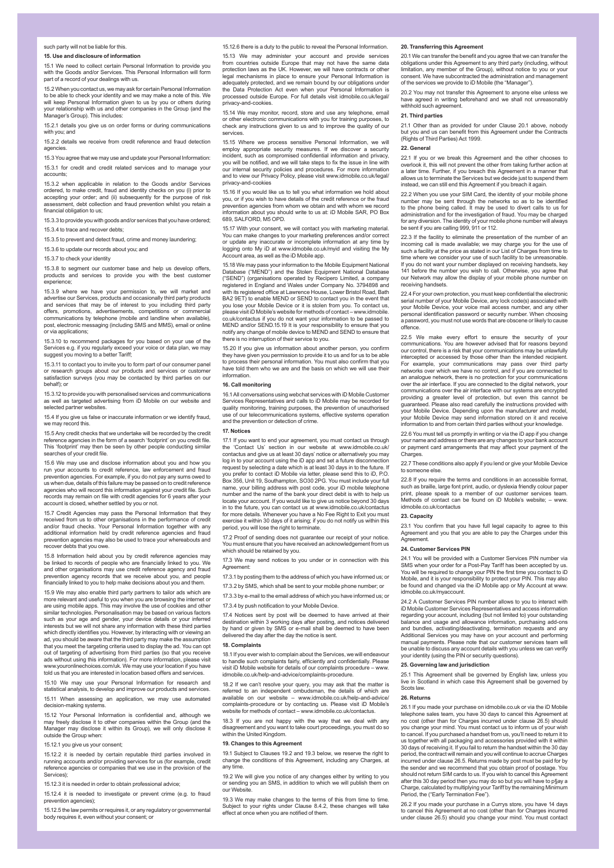such party will not be liable for this.

**15. Use and disclosure of information**

15.1 We need to collect certain Personal Information to provide you with the Goods and/or Services. This Personal Information will form part of a record of your dealings with us.

15.2 When you contact us, we may ask for certain Personal Information to be able to check your identity and we may make a note of this. We will keep Personal Information given to us by you or others during your relationship with us and other companies in the Group (and the Manager's Group). This includes:

15.2.1 details you give us on order forms or during communications with you; and

15.2.2 details we receive from credit reference and fraud detection agencies.

15.3 You agree that we may use and update your Personal Information: 15.3.1 for credit and credit related services and to manage your accounts;

15.3.2 when applicable in relation to the Goods and/or Services ordered, to make credit, fraud and identity checks on you (i) prior to accepting your order; and (ii) subsequently for the purpose of risk ant, debt collection and fraud prevention whilst you retain a financial obligation to us;

15.3.3 to provide you with goods and/or services that you have ordered; 15.3.4 to trace and recover debts;

15.3.5 to prevent and detect fraud, crime and money laundering;

15.3.6 to update our records about you; and

15.3.7 to check your identity

15.3.8 to segment our customer base and help us develop offers, products and services to provide you with the best customer experience;

15.3.9 where we have your permission to, we will market and advertise our Services, products and occasionally third party products and services that may be of interest to you including third party offers, promotions, advertisements, competitions or commercial communications by telephone (mobile and landline when available), post, electronic messaging (including SMS and MMS), email or online or via applications;

15.3.10 to recommend packages for you based on your use of the Services e.g. if you regularly exceed your voice or data plan, we may suggest you moving to a better Tariff;

15.3.11 to contact you to invite you to form part of our consumer panel or research groups about our products and services or customer satisfaction surveys (you may be contacted by third parties on our behalf); or

15.3.12 to provide you with personalised services and communications as well as targeted advertising from iD Mobile on our website and selected partner websites

15.4 If you give us false or inaccurate information or we identify fraud, we may record this.

15.5 Any credit checks that we undertake will be recorded by the credit reference agencies in the form of a search 'footprint' on you credit file. This 'footprint' may then be seen by other people conducting similar searches of your credit file.

15.6 We may use and disclose information about you and how you run your accounts to credit reference, law enforcement and fraud prevention agencies. For example, if you do not pay any sums owed to us when due, details of this failure may be passed on to credit reference agencies who will record this information against your credit file. Such records may remain on file with credit agencies for 6 years after your account is closed, whether settled by you or not.

15.7 Credit Agencies may pass the Personal Information that they received from us to other organisations in the performance of credit and/or fraud checks. Your Personal Information together with any additional information held by credit reference agencies and fraud prevention agencies may also be used to trace your whereabouts and recover debts that you owe.

15.8 Information held about you by credit reference agencies may be linked to records of people who are financially linked to you. We and other organisations may use credit reference agency and fraud prevention agency records that we receive about you, and people financially linked to you to help make decisions about you and them.

15.9 We may also enable third party partners to tailor ads which are more relevant and useful to you when you are browsing the internet or are using mobile apps. This may involve the use of cookies and other<br>similar toobaselesies. Percensilization may be beend an usinue factor similar technologies. Personalisation may be based on various factors such as your age and gender, your device details or your inferred interests but we will not share any information with these third parties which directly identifies you. However, by interacting with or viewing an ad, you should be aware that the third party may make the assumption that you meet the targeting criteria used to display the ad. You can opt out of targeting of advertising from third parties (so that you receive out of targeting of advertising from third parties (so that you receive ads without using this information). For more information, please visit www.youronlinechoices.com/uk. We may use your location if you have told us that you are interested in location based offers and services.

15.10 We may use your Personal Information for research and ical analysis, to develop and improve our products and services

15.11 When assessing an application, we may use automated decision-making systems.

15.12 Your Personal Information is confidential and, although we may freely disclose it to other companies within the Group (and the Manager may disclose it within its Group), we will only disclose it outside the Group when:

15.12.1 you give us your consent;

15.12.2 it is needed by certain reputable third parties involved in running accounts and/or providing services for us (for example, credit reference agencies or companies that we use in the provision of the Services);

15.12.3 it is needed in order to obtain professional advice;

15.12.4 it is needed to investigate or prevent crime (e.g. to fraud ntion agencies);

15.12.5 the law permits or requires it, or any regulatory or governmental body requires it, even without your consent; or

15.12.6 there is a duty to the public to reveal the Personal Information.

15.13 We may administer your account and provide services from countries outside Europe that may not have the same data protection laws as the UK. However, we will have contracts or other legal mechanisms in place to ensure your Personal Information is adequately protected, and we remain bound by our obligations under the Data Protection Act even when your Personal Information is processed outside Europe. For full details visit idmobile.co.uk/legal/ privacy-and-cookies.

15.14 We may monitor, record, store and use any telephone, email or other electronic communications with you for training purposes, to check any instructions given to us and to improve the quality of our services.

15.15 Where we process sensitive Personal Information, we will employ appropriate security measures. If we discover a security incident, such as compromised confidential information and privacy, you will be notified, and we will take steps to fix the issue in line with our internal security policies and procedures. For more information and to view our Privacy Policy, please visit www.idmobile.co.uk/legal/ privacy-and-cookies

15.16 If you would like us to tell you what information we hold about you, or if you wish to have details of the credit reference or the fraud prevention agencies from whom we obtain and with whom we record information about you should write to us at: iD Mobile SAR, PO Box 689, SALFORD, M5 OPD.

15.17 With your consent, we will contact you with marketing material. You can make changes to your marketing preferences and/or correct or update any inaccurate or incomplete information at any time by logging onto My iD at www.idmobile.co.uk/myid and visiting the My Account area, as well as the iD Mobile app.

15.18 We may pass your information to the Mobile Equipment National only published and increased the most equipment. ("SEND") (organisations operated by Recipero Limited, a company registered in England and Wales under Company No. 3794898 and with its registered office at Lawrence House, Lower Bristol Road, Bath BA2 9ET) to enable MEND or SEND to contact you in the event that you lose your Mobile Device or it is stolen from you. To contact us, please visit iD Mobile's website for methods of contact – www.idmobile. co.uk/contactus if you do not want your information to be passed to MEND and/or SEND.15.19 It is your responsibility to ensure that you notify any change of mobile device to MEND and SEND to ensure that there is no interruption of their service to you.

15.20 If you give us information about another person, you confirm they have given you permission to provide it to us and for us to be able to process their personal information. You must also confirm that you have told them who we are and the basis on which we will use their information.

# **16. Call monitoring**

16.1 All conversations using webchat services with iD Mobile Customer Services Representatives and calls to iD Mobile may be recorded for quality monitoring, training purposes, the prevention of unauthorised use of our telecommunications systems, effective systems operation and the prevention or detection of crime.

#### **17. Notices**

17.1 If you want to end your agreement, you must contact us through the 'Contact Us' section in our website at www.idmobile.co.uk/ contactus and give us at least 30 days' notice or alternatively you may log in to your account using the iD app and set a future disconnection request by selecting a date which is at least 30 days in to the future. If you prefer to contact iD Mobile via letter, please send this to iD, P.O. Box 356, Unit 19, Southampton, SO30 2PG. You must include your full name, your billing address with post code, your iD mobile telephone number and the name of the bank your direct debit is with to help us locate your account. If you would like to give us notice beyond 30 days in to the future, you can contact us at www.idmobile.co.uk/contactus for more details. Whenever you have a No Fee Right to Exit you must exercise it within 30 days of it arising; if you do not notify us within this period, you will lose the right to terminate.

17.2 Proof of sending does not guarantee our receipt of your notice. You must ensure that you have received an acknowledgement from us which should be retained by you.

17.3 We may send notices to you under or in connection with this Agreement:

17.3.1 by posting them to the address of which you have informed us; or

17.3.2 by SMS, which shall be sent to your mobile phone number; or 17.3.3 by e-mail to the email address of which you have informed us; or

17.3.4 by push notification to your Mobile Device.

17.4 Notices sent by post will be deemed to have arrived at their destination within 3 working days after posting, and notices delivered by hand or given by SMS or e-mail shall be deemed to have been delivered the day after the day the notice is sent.

# **18. Complaints**

18.1 If you ever wish to complain about the Services, we will endeavour to handle such complaints fairly, efficiently and confidentially. Please visit iD Mobile website for details of our complaints procedure – www. idmobile.co.uk/help-and-advice/complaints-procedure.

18.2 If we can't resolve your query, you may ask that the matter is referred to an independent ombudsman, the details of which are available on our website – www.idmobile.co.uk/help-and-advice/ complaints-procedure or by contacting us. Please visit iD Mobile's site for methods of contact – www.idmobile.co.uk/cont

18.3 If you are not happy with the way that we deal with any disagreement and you want to take court proceedings, you must do so disagreement and you.<br>within the United Kingdom.

# **19. Changes to this Agreement**

19.1 Subject to Clauses 19.2 and 19.3 below, we reserve the right to change the conditions of this Agreement, including any Charges, at any time.

19.2 We will give you notice of any changes either by writing to you or sending you an SMS, in addition to which we will publish them on our Website.

19.3 We may make changes to the terms of this from time to time. Subject to your rights under Clause 8.4.2, these changes will take effect at once when you are notified of them.

# **20. Transferring this Agreement**

20.1 We can transfer the benefit and you agree that we can transfer the obligations under this Agreement to any third party (including, without limitation, any member of the Group), without notice to you or your consent. We have subcontracted the administration and management of the services we provide to iD Mobile (the "Manager").

20.2 You may not transfer this Agreement to anyone else unless we have agreed in writing beforehand and we shall not unreasonably withhold such agreement.

## **21. Third parties**

21.1 Other than as provided for under Clause 20.1 above, nobody but you and us can benefit from this Agreement under the Contracts (Rights of Third Parties) Act 1999.

## **22. General**

22.1 If you or we break this Agreement and the other chooses to overlook it, this will not prevent the other from taking further action at a later time. Further, if you breach this Agreement in a manner that allows us to terminate the Services but we decide just to suspend them instead, we can still end this Agreement if you breach it again.

22.2 When you use your SIM Card, the identity of your mobile phone number may be sent through the networks so as to be identified to the phone being called. It may be used to divert calls to us for administration and for the investigation of fraud. You may be charged for any diversion. The identity of your mobile phone number will always be sent if you are calling 999, 911 or 112.

22.3 If the facility to eliminate the presentation of the number of an incoming call is made available; we may charge you for the use of such a facility at the price as stated in our List of Charges from time to time where we consider your use of such facility to be unreasonable. If you do not want your number displayed on receiving handsets, key 141 before the number you wish to call. Otherwise, you agree that our Network may allow the display of your mobile phone number on receiving handsets.

22.4 For your own protection, you must keep confidential the electronic serial number of your Mobile Device, any lock code(s) associated with your Mobile Device, your voice mail access number, and any other personal identification password or security number. When choosing a password, you must not use words that are obscene or likely to cause offence.

22.5 We make every effort to ensure the security of your communications. You are however advised that for reasons beyond our control, there is a risk that your communications may be unlawfully intercepted or accessed by those other than the intended recipient. For example, your communications may pass over third party networks over which we have no control, and if you are connected to an analogue network, there is no protection for your communications over the air interface. If you are connected to the digital network, your communications over the air interface with our systems are encrypted providing a greater level of protection, but even this cannot be guaranteed. Please also read carefully the instructions provided with your Mobile Device. Depending upon the manufacturer and model, your Mobile Device may send information stored on it and receive information to and from certain third parties without your knowledge.

22.6 You must tell us promptly in writing or via the iD app if you change your name and address or there are any changes to your bank account or payment card arrangements that may affect your payment of the Charges.

22.7 These conditions also apply if you lend or give your Mobile Device to someone else.

22.8 If you require the terms and conditions in an accessible format, such as braille, large font print, audio, or dyslexia friendly colour paper print, please speak to a member of our customer services team. Methods of contact can be found on iD Mobile's website; – www. idmobile.co.uk/contactus

## **23. Capacity**

23.1 You confirm that you have full legal capacity to agree to this Agreement and you that you are able to pay the Charges under this Agreement.

#### **24. Customer Services PIN**

24.1 You will be provided with a Customer Services PIN number via SMS when your order for a Post-Pay Tariff has been accepted by us. You will be required to change your PIN the first time you contact to iD Mobile, and it is your responsibility to protect your PIN. This may also be found and changed via the iD Mobile app or My Account at www. idmobile.co.uk/myaccount.

24.2 A Customer Services PIN number allows to you to interact with iD Mobile Customer Services Representatives and access information regarding your account, including (but not limited to) your outstanding balance and usage and allowance information, purchasing add-ons and bundles, activating/deactivating, termination requests and any Additional Services you may have on your account and performing manual payments. Please note that our customer services team will be unable to discuss any account details with you unless we can verify your identity (using the PIN or security questions).

## **25. Governing law and jurisdiction**

25.1 This Agreement shall be governed by English law, unless you live in Scotland in which case this Agreement shall be governed by Scots law.

# **26. Returns**

26.1 If you made your purchase on idmobile.co.uk or via the iD Mobile telephone sales team, you have 30 days to cancel this Agreement at no cost (other than for Charges incurred under clause 26.5) should you change your mind. You must contact us to inform us of your wish to cancel. If you purchased a handset from us, you'll need to return it to us together with all packaging and accessories provided with it within 30 days of receiving it. If you fail to return the handset within the 30 day period, the contract will remain and you will continue to accrue Charges incurred under clause 26.5. Returns made by post must be paid for by the sender and we recommend that you obtain proof of postage. You should not return SIM cards to us. If you wish to cancel this Agreement after this 30 day period then you may do so but you will have to p§ay a Charge, calculated by multiplying your Tariff by the remaining Minimum Period, the ("Early Termination Fee").

26.2 If you made your purchase in a Currys store, you have 14 days to cancel this Agreement at no cost (other than for Charges incurred under clause 26.5) should you change your mind. You must contact